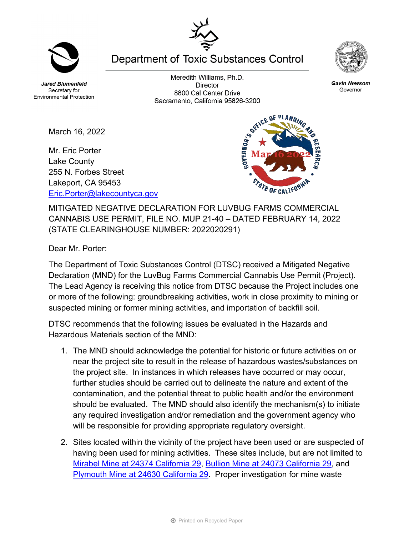**Jared Blumenfeld** Secretary for **Environmental Protection** 

March 16, 2022

Mr. Eric Porter Lake County

255 N. Forbes Street Lakeport, CA 95453

[Eric.Porter@lakecountyca.gov](mailto:Eric.Porter@lakecountyca.gov)

Meredith Williams, Ph.D. **Director** 8800 Cal Center Drive Sacramento, California 95826-3200

MITIGATED NEGATIVE DECLARATION FOR LUVBUG FARMS COMMERCIAL CANNABIS USE PERMIT, FILE NO. MUP 21-40 – DATED FEBRUARY 14, 2022 (STATE CLEARINGHOUSE NUMBER: 2022020291)

Dear Mr. Porter:

The Department of Toxic Substances Control (DTSC) received a Mitigated Negative Declaration (MND) for the LuvBug Farms Commercial Cannabis Use Permit (Project). The Lead Agency is receiving this notice from DTSC because the Project includes one or more of the following: groundbreaking activities, work in close proximity to mining or suspected mining or former mining activities, and importation of backfill soil.

DTSC recommends that the following issues be evaluated in the Hazards and Hazardous Materials section of the MND:

- 1. The MND should acknowledge the potential for historic or future activities on or near the project site to result in the release of hazardous wastes/substances on the project site. In instances in which releases have occurred or may occur, further studies should be carried out to delineate the nature and extent of the contamination, and the potential threat to public health and/or the environment should be evaluated. The MND should also identify the mechanism(s) to initiate any required investigation and/or remediation and the government agency who will be responsible for providing appropriate regulatory oversight.
- 2. Sites located within the vicinity of the project have been used or are suspected of having been used for mining activities. These sites include, but are not limited to Mirabel Mine [at 24374 California 29,](https://www.envirostor.dtsc.ca.gov/public/profile_report.asp?global_id=60002749) [Bullion Mine at 24073 California 29,](https://www.envirostor.dtsc.ca.gov/public/profile_report.asp?global_id=60002751) and [Plymouth Mine at 24630 California 29.](https://www.envirostor.dtsc.ca.gov/public/profile_report.asp?global_id=60002750) Proper investigation for mine waste

**Department of Toxic Substances Control**